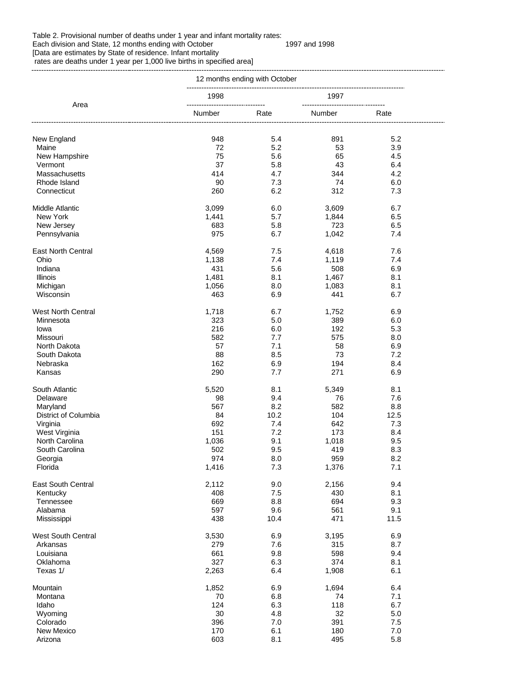## Table 2. Provisional number of deaths under 1 year and infant mortality rates:

## Each division and State, 12 months ending with October 1997 and 1998 [Data are estimates by State of residence. Infant mortality

rates are deaths under 1 year per 1,000 live births in specified area]

|                           | 12 months ending with October              |            |                                              |            |  |
|---------------------------|--------------------------------------------|------------|----------------------------------------------|------------|--|
| Area                      | 1998                                       |            | 1997                                         |            |  |
|                           | --------------------------------<br>Number | Rate       | ----------------------------------<br>Number | Rate       |  |
| New England               | 948                                        | 5.4        | 891                                          | 5.2        |  |
| Maine                     | 72                                         | 5.2        | 53                                           | 3.9        |  |
| New Hampshire             | 75                                         | 5.6        | 65                                           | 4.5        |  |
| Vermont                   | 37                                         | 5.8        | 43                                           | 6.4        |  |
| Massachusetts             |                                            |            |                                              |            |  |
|                           | 414                                        | 4.7        | 344                                          | 4.2        |  |
| Rhode Island              | 90                                         | 7.3        | 74                                           | 6.0        |  |
| Connecticut               | 260                                        | 6.2        | 312                                          | 7.3        |  |
| <b>Middle Atlantic</b>    | 3,099                                      | 6.0        | 3,609                                        | 6.7        |  |
| New York                  | 1,441                                      | 5.7        | 1,844                                        | 6.5        |  |
| New Jersey                | 683                                        | 5.8        | 723                                          | 6.5        |  |
| Pennsylvania              | 975                                        | 6.7        | 1,042                                        | 7.4        |  |
| <b>East North Central</b> | 4,569                                      | 7.5        | 4,618                                        | 7.6        |  |
| Ohio                      | 1,138                                      | 7.4        | 1,119                                        | 7.4        |  |
| Indiana                   | 431                                        | 5.6        | 508                                          | 6.9        |  |
|                           |                                            |            |                                              |            |  |
| <b>Illinois</b>           | 1,481                                      | 8.1        | 1,467                                        | 8.1        |  |
| Michigan                  | 1,056                                      | 8.0        | 1,083                                        | 8.1        |  |
| Wisconsin                 | 463                                        | 6.9        | 441                                          | 6.7        |  |
| <b>West North Central</b> | 1,718                                      | 6.7        | 1,752                                        | 6.9        |  |
| Minnesota                 | 323                                        | 5.0        | 389                                          | 6.0        |  |
| lowa                      | 216                                        | 6.0        | 192                                          | 5.3        |  |
| Missouri                  | 582                                        | 7.7        | 575                                          | 8.0        |  |
| North Dakota              | 57                                         | 7.1        | 58                                           | 6.9        |  |
| South Dakota              | 88                                         | 8.5        | 73                                           | 7.2        |  |
|                           |                                            |            |                                              |            |  |
| Nebraska<br>Kansas        | 162<br>290                                 | 6.9<br>7.7 | 194<br>271                                   | 8.4<br>6.9 |  |
|                           |                                            |            |                                              |            |  |
| South Atlantic            | 5,520                                      | 8.1        | 5,349                                        | 8.1        |  |
| Delaware                  | 98                                         | 9.4        | 76                                           | 7.6        |  |
| Maryland                  | 567                                        | 8.2        | 582                                          | 8.8        |  |
| District of Columbia      | 84                                         | 10.2       | 104                                          | 12.5       |  |
| Virginia                  | 692                                        | 7.4        | 642                                          | 7.3        |  |
| West Virginia             | 151                                        | 7.2        | 173                                          | 8.4        |  |
| North Carolina            | 1,036                                      | 9.1        | 1,018                                        | 9.5        |  |
| South Carolina            | 502                                        | 9.5        | 419                                          | 8.3        |  |
| Georgia                   | 974                                        | 8.0        | 959                                          | 8.2        |  |
| Florida                   | 1,416                                      | 7.3        | 1,376                                        | 7.1        |  |
|                           |                                            |            |                                              |            |  |
| East South Central        | 2,112                                      | 9.0        | 2,156                                        | 9.4        |  |
| Kentucky                  | 408                                        | 7.5        | 430                                          | 8.1        |  |
| Tennessee                 | 669                                        | 8.8        | 694                                          | 9.3        |  |
| Alabama                   | 597                                        | 9.6        | 561                                          | 9.1        |  |
| Mississippi               | 438                                        | 10.4       | 471                                          | 11.5       |  |
| <b>West South Central</b> | 3,530                                      | 6.9        | 3,195                                        | 6.9        |  |
| Arkansas                  | 279                                        | 7.6        | 315                                          | 8.7        |  |
|                           |                                            |            | 598                                          |            |  |
| Louisiana                 | 661                                        | 9.8        |                                              | 9.4        |  |
| Oklahoma<br>Texas 1/      | 327<br>2,263                               | 6.3<br>6.4 | 374<br>1,908                                 | 8.1<br>6.1 |  |
|                           |                                            |            |                                              |            |  |
| Mountain                  | 1,852                                      | 6.9        | 1,694                                        | 6.4        |  |
| Montana                   | 70                                         | 6.8        | 74                                           | 7.1        |  |
| Idaho                     | 124                                        | 6.3        | 118                                          | 6.7        |  |
| Wyoming                   | 30                                         | 4.8        | 32                                           | 5.0        |  |
| Colorado                  | 396                                        | 7.0        | 391                                          | 7.5        |  |
| New Mexico                | 170                                        | 6.1        | 180                                          | 7.0        |  |
| Arizona                   | 603                                        | 8.1        | 495                                          | 5.8        |  |